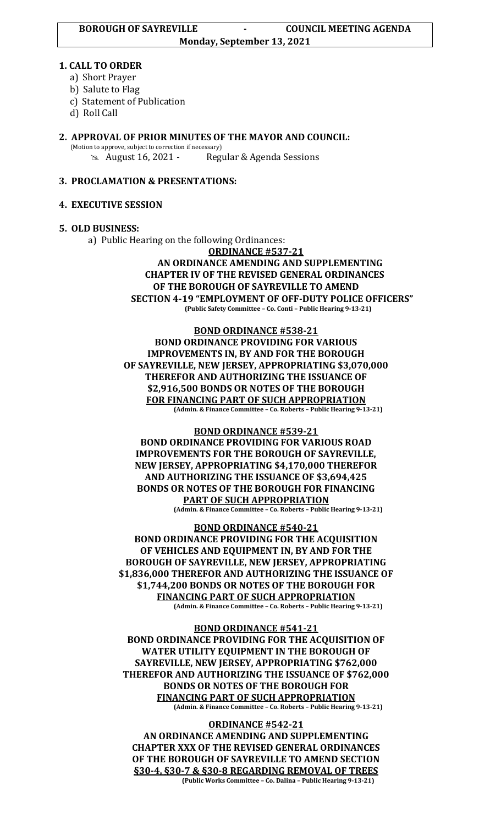### **1. CALL TO ORDER**

- a) Short Prayer
- b) Salute to Flag
- c) Statement of Publication
- d) Roll Call

#### **2. APPROVAL OF PRIOR MINUTES OF THE MAYOR AND COUNCIL:**  (Motion to approve, subject to correction if necessary)

August 16, 2021 - Regular & Agenda Sessions

# **3. PROCLAMATION & PRESENTATIONS:**

## **4. EXECUTIVE SESSION**

## **5. OLD BUSINESS:**

a) Public Hearing on the following Ordinances:

**ORDINANCE #537-21**

### **AN ORDINANCE AMENDING AND SUPPLEMENTING CHAPTER IV OF THE REVISED GENERAL ORDINANCES OF THE BOROUGH OF SAYREVILLE TO AMEND SECTION 4-19 "EMPLOYMENT OF OFF-DUTY POLICE OFFICERS" (Public Safety Committee – Co. Conti – Public Hearing 9-13-21)**

**BOND ORDINANCE #538-21 BOND ORDINANCE PROVIDING FOR VARIOUS IMPROVEMENTS IN, BY AND FOR THE BOROUGH OF SAYREVILLE, NEW JERSEY, APPROPRIATING \$3,070,000 THEREFOR AND AUTHORIZING THE ISSUANCE OF \$2,916,500 BONDS OR NOTES OF THE BOROUGH FOR FINANCING PART OF SUCH APPROPRIATION (Admin. & Finance Committee – Co. Roberts – Public Hearing 9-13-21)**

### **BOND ORDINANCE #539-21**

**BOND ORDINANCE PROVIDING FOR VARIOUS ROAD IMPROVEMENTS FOR THE BOROUGH OF SAYREVILLE, NEW JERSEY, APPROPRIATING \$4,170,000 THEREFOR AND AUTHORIZING THE ISSUANCE OF \$3,694,425 BONDS OR NOTES OF THE BOROUGH FOR FINANCING PART OF SUCH APPROPRIATION**

**(Admin. & Finance Committee – Co. Roberts – Public Hearing 9-13-21)**

**BOND ORDINANCE #540-21 BOND ORDINANCE PROVIDING FOR THE ACQUISITION OF VEHICLES AND EQUIPMENT IN, BY AND FOR THE BOROUGH OF SAYREVILLE, NEW JERSEY, APPROPRIATING \$1,836,000 THEREFOR AND AUTHORIZING THE ISSUANCE OF \$1,744,200 BONDS OR NOTES OF THE BOROUGH FOR FINANCING PART OF SUCH APPROPRIATION (Admin. & Finance Committee – Co. Roberts – Public Hearing 9-13-21)**

#### **BOND ORDINANCE #541-21**

**BOND ORDINANCE PROVIDING FOR THE ACQUISITION OF WATER UTILITY EQUIPMENT IN THE BOROUGH OF SAYREVILLE, NEW JERSEY, APPROPRIATING \$762,000 THEREFOR AND AUTHORIZING THE ISSUANCE OF \$762,000 BONDS OR NOTES OF THE BOROUGH FOR FINANCING PART OF SUCH APPROPRIATION (Admin. & Finance Committee – Co. Roberts – Public Hearing 9-13-21)**

### **ORDINANCE #542-21**

**AN ORDINANCE AMENDING AND SUPPLEMENTING CHAPTER XXX OF THE REVISED GENERAL ORDINANCES OF THE BOROUGH OF SAYREVILLE TO AMEND SECTION §30-4, §30-7 & §30-8 REGARDING REMOVAL OF TREES**

**(Public Works Committee – Co. Dalina – Public Hearing 9-13-21)**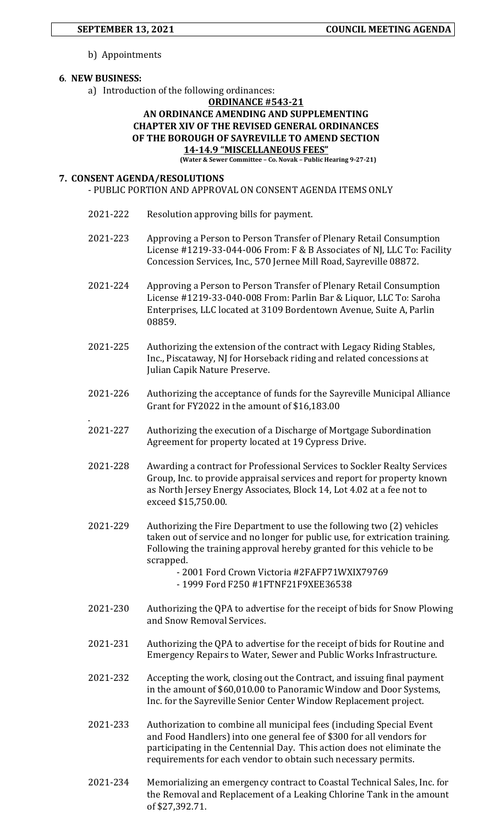b) Appointments

### **6**. **NEW BUSINESS:**

.

a) Introduction of the following ordinances:

### **ORDINANCE #543-21**

## **AN ORDINANCE AMENDING AND SUPPLEMENTING CHAPTER XIV OF THE REVISED GENERAL ORDINANCES OF THE BOROUGH OF SAYREVILLE TO AMEND SECTION 14-14.9 "MISCELLANEOUS FEES"**

**(Water & Sewer Committee – Co. Novak – Public Hearing 9-27-21)**

#### **7. CONSENT AGENDA/RESOLUTIONS**

- PUBLIC PORTION AND APPROVAL ON CONSENT AGENDA ITEMS ONLY
- 2021-222 Resolution approving bills for payment.
- 2021-223 Approving a Person to Person Transfer of Plenary Retail Consumption License #1219-33-044-006 From: F & B Associates of NJ, LLC To: Facility Concession Services, Inc., 570 Jernee Mill Road, Sayreville 08872.
- 2021-224 Approving a Person to Person Transfer of Plenary Retail Consumption License #1219-33-040-008 From: Parlin Bar & Liquor, LLC To: Saroha Enterprises, LLC located at 3109 Bordentown Avenue, Suite A, Parlin 08859.
- 2021-225 Authorizing the extension of the contract with Legacy Riding Stables, Inc., Piscataway, NJ for Horseback riding and related concessions at Julian Capik Nature Preserve.
- 2021-226 Authorizing the acceptance of funds for the Sayreville Municipal Alliance Grant for FY2022 in the amount of \$16,183.00
- 2021-227 Authorizing the execution of a Discharge of Mortgage Subordination Agreement for property located at 19 Cypress Drive.
- 2021-228 Awarding a contract for Professional Services to Sockler Realty Services Group, Inc. to provide appraisal services and report for property known as North Jersey Energy Associates, Block 14, Lot 4.02 at a fee not to exceed \$15,750.00.
- 2021-229 Authorizing the Fire Department to use the following two (2) vehicles taken out of service and no longer for public use, for extrication training. Following the training approval hereby granted for this vehicle to be scrapped.
	- 2001 Ford Crown Victoria #2FAFP71WXIX79769 - 1999 Ford F250 #1FTNF21F9XEE36538
- 2021-230 Authorizing the QPA to advertise for the receipt of bids for Snow Plowing and Snow Removal Services.
- 2021-231 Authorizing the QPA to advertise for the receipt of bids for Routine and Emergency Repairs to Water, Sewer and Public Works Infrastructure.
- 2021-232 Accepting the work, closing out the Contract, and issuing final payment in the amount of \$60,010.00 to Panoramic Window and Door Systems, Inc. for the Sayreville Senior Center Window Replacement project.
- 2021-233 Authorization to combine all municipal fees (including Special Event and Food Handlers) into one general fee of \$300 for all vendors for participating in the Centennial Day. This action does not eliminate the requirements for each vendor to obtain such necessary permits.
- 2021-234 Memorializing an emergency contract to Coastal Technical Sales, Inc. for the Removal and Replacement of a Leaking Chlorine Tank in the amount of \$27,392.71.